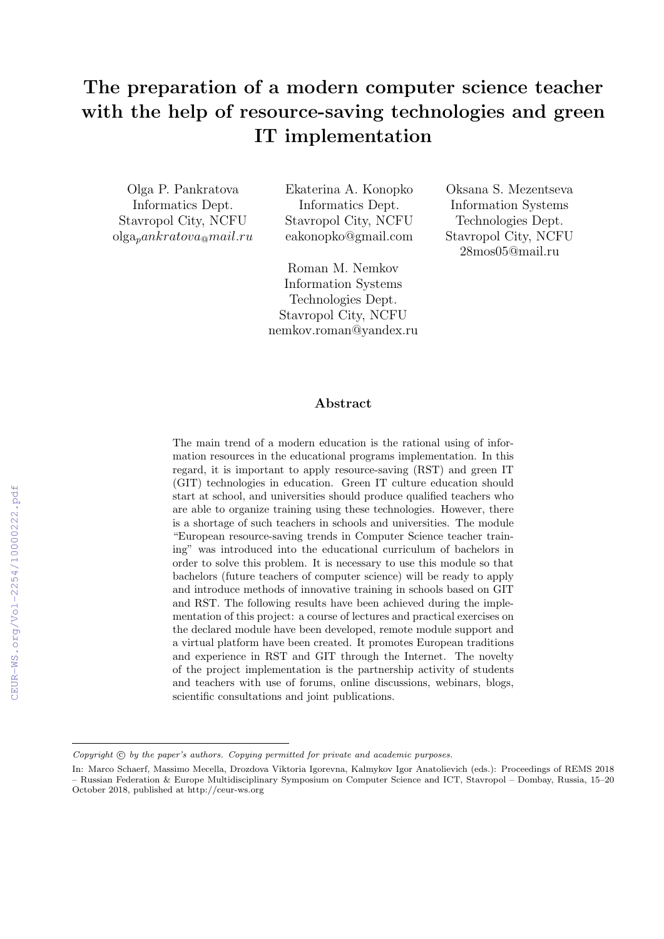# The preparation of a modern computer science teacher with the help of resource-saving technologies and green IT implementation

Olga P. Pankratova Informatics Dept. Stavropol City, NCFU  $olga<sub>p</sub>ankratova<sub>@</sub>mail.ru$  Ekaterina A. Konopko Informatics Dept. Stavropol City, NCFU eakonopko@gmail.com

Roman M. Nemkov Information Systems Technologies Dept. Stavropol City, NCFU nemkov.roman@yandex.ru

Oksana S. Mezentseva Information Systems Technologies Dept. Stavropol City, NCFU 28mos05@mail.ru

## Abstract

The main trend of a modern education is the rational using of information resources in the educational programs implementation. In this regard, it is important to apply resource-saving (RST) and green IT (GIT) technologies in education. Green IT culture education should start at school, and universities should produce qualified teachers who are able to organize training using these technologies. However, there is a shortage of such teachers in schools and universities. The module "European resource-saving trends in Computer Science teacher training" was introduced into the educational curriculum of bachelors in order to solve this problem. It is necessary to use this module so that bachelors (future teachers of computer science) will be ready to apply and introduce methods of innovative training in schools based on GIT and RST. The following results have been achieved during the implementation of this project: a course of lectures and practical exercises on the declared module have been developed, remote module support and a virtual platform have been created. It promotes European traditions and experience in RST and GIT through the Internet. The novelty of the project implementation is the partnership activity of students and teachers with use of forums, online discussions, webinars, blogs, scientific consultations and joint publications.

Copyright  $\odot$  by the paper's authors. Copying permitted for private and academic purposes.

In: Marco Schaerf, Massimo Mecella, Drozdova Viktoria Igorevna, Kalmykov Igor Anatolievich (eds.): Proceedings of REMS 2018 – Russian Federation & Europe Multidisciplinary Symposium on Computer Science and ICT, Stavropol – Dombay, Russia, 15–20 October 2018, published at http://ceur-ws.org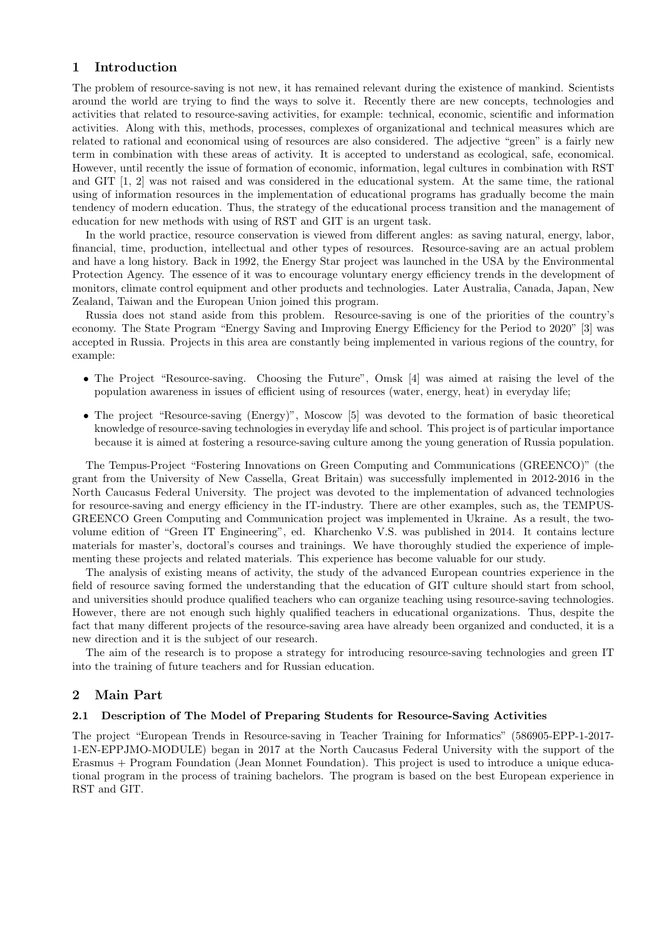# 1 Introduction

The problem of resource-saving is not new, it has remained relevant during the existence of mankind. Scientists around the world are trying to find the ways to solve it. Recently there are new concepts, technologies and activities that related to resource-saving activities, for example: technical, economic, scientific and information activities. Along with this, methods, processes, complexes of organizational and technical measures which are related to rational and economical using of resources are also considered. The adjective "green" is a fairly new term in combination with these areas of activity. It is accepted to understand as ecological, safe, economical. However, until recently the issue of formation of economic, information, legal cultures in combination with RST and GIT [1, 2] was not raised and was considered in the educational system. At the same time, the rational using of information resources in the implementation of educational programs has gradually become the main tendency of modern education. Thus, the strategy of the educational process transition and the management of education for new methods with using of RST and GIT is an urgent task.

In the world practice, resource conservation is viewed from different angles: as saving natural, energy, labor, financial, time, production, intellectual and other types of resources. Resource-saving are an actual problem and have a long history. Back in 1992, the Energy Star project was launched in the USA by the Environmental Protection Agency. The essence of it was to encourage voluntary energy efficiency trends in the development of monitors, climate control equipment and other products and technologies. Later Australia, Canada, Japan, New Zealand, Taiwan and the European Union joined this program.

Russia does not stand aside from this problem. Resource-saving is one of the priorities of the country's economy. The State Program "Energy Saving and Improving Energy Efficiency for the Period to 2020" [3] was accepted in Russia. Projects in this area are constantly being implemented in various regions of the country, for example:

- The Project "Resource-saving. Choosing the Future", Omsk [4] was aimed at raising the level of the population awareness in issues of efficient using of resources (water, energy, heat) in everyday life;
- The project "Resource-saving (Energy)", Moscow [5] was devoted to the formation of basic theoretical knowledge of resource-saving technologies in everyday life and school. This project is of particular importance because it is aimed at fostering a resource-saving culture among the young generation of Russia population.

The Tempus-Project "Fostering Innovations on Green Computing and Communications (GREENCO)" (the grant from the University of New Cassella, Great Britain) was successfully implemented in 2012-2016 in the North Caucasus Federal University. The project was devoted to the implementation of advanced technologies for resource-saving and energy efficiency in the IT-industry. There are other examples, such as, the TEMPUS-GREENCO Green Computing and Communication project was implemented in Ukraine. As a result, the twovolume edition of "Green IT Engineering", ed. Kharchenko V.S. was published in 2014. It contains lecture materials for master's, doctoral's courses and trainings. We have thoroughly studied the experience of implementing these projects and related materials. This experience has become valuable for our study.

The analysis of existing means of activity, the study of the advanced European countries experience in the field of resource saving formed the understanding that the education of GIT culture should start from school, and universities should produce qualified teachers who can organize teaching using resource-saving technologies. However, there are not enough such highly qualified teachers in educational organizations. Thus, despite the fact that many different projects of the resource-saving area have already been organized and conducted, it is a new direction and it is the subject of our research.

The aim of the research is to propose a strategy for introducing resource-saving technologies and green IT into the training of future teachers and for Russian education.

## 2 Main Part

#### 2.1 Description of The Model of Preparing Students for Resource-Saving Activities

The project "European Trends in Resource-saving in Teacher Training for Informatics" (586905-EPP-1-2017- 1-EN-EPPJMO-MODULE) began in 2017 at the North Caucasus Federal University with the support of the Erasmus + Program Foundation (Jean Monnet Foundation). This project is used to introduce a unique educational program in the process of training bachelors. The program is based on the best European experience in RST and GIT.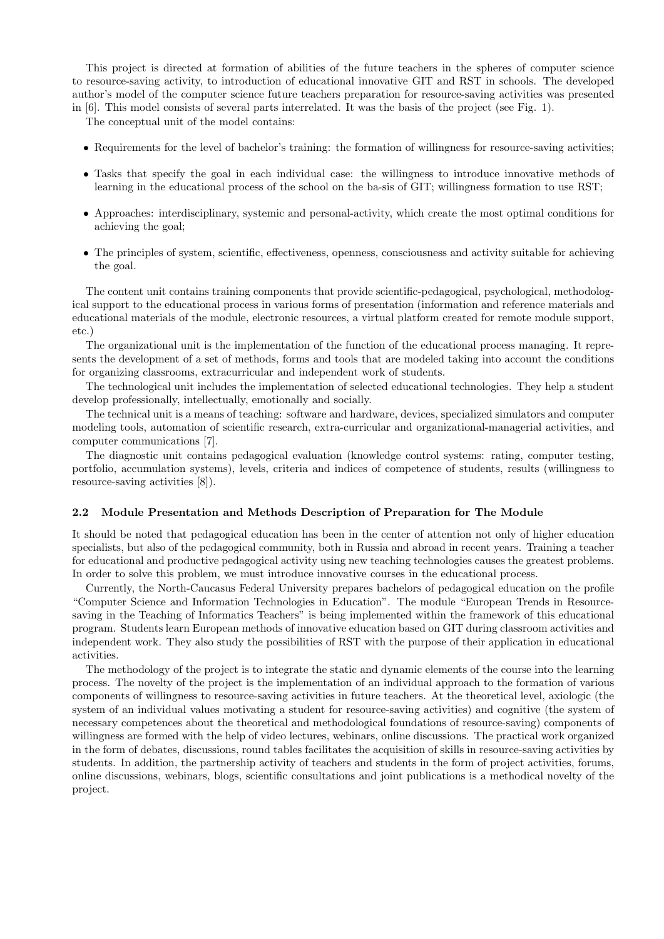This project is directed at formation of abilities of the future teachers in the spheres of computer science to resource-saving activity, to introduction of educational innovative GIT and RST in schools. The developed author's model of the computer science future teachers preparation for resource-saving activities was presented in [6]. This model consists of several parts interrelated. It was the basis of the project (see Fig. 1).

The conceptual unit of the model contains:

- Requirements for the level of bachelor's training: the formation of willingness for resource-saving activities;
- Tasks that specify the goal in each individual case: the willingness to introduce innovative methods of learning in the educational process of the school on the ba-sis of GIT; willingness formation to use RST;
- Approaches: interdisciplinary, systemic and personal-activity, which create the most optimal conditions for achieving the goal;
- The principles of system, scientific, effectiveness, openness, consciousness and activity suitable for achieving the goal.

The content unit contains training components that provide scientific-pedagogical, psychological, methodological support to the educational process in various forms of presentation (information and reference materials and educational materials of the module, electronic resources, a virtual platform created for remote module support, etc.)

The organizational unit is the implementation of the function of the educational process managing. It represents the development of a set of methods, forms and tools that are modeled taking into account the conditions for organizing classrooms, extracurricular and independent work of students.

The technological unit includes the implementation of selected educational technologies. They help a student develop professionally, intellectually, emotionally and socially.

The technical unit is a means of teaching: software and hardware, devices, specialized simulators and computer modeling tools, automation of scientific research, extra-curricular and organizational-managerial activities, and computer communications [7].

The diagnostic unit contains pedagogical evaluation (knowledge control systems: rating, computer testing, portfolio, accumulation systems), levels, criteria and indices of competence of students, results (willingness to resource-saving activities [8]).

#### 2.2 Module Presentation and Methods Description of Preparation for The Module

It should be noted that pedagogical education has been in the center of attention not only of higher education specialists, but also of the pedagogical community, both in Russia and abroad in recent years. Training a teacher for educational and productive pedagogical activity using new teaching technologies causes the greatest problems. In order to solve this problem, we must introduce innovative courses in the educational process.

Currently, the North-Caucasus Federal University prepares bachelors of pedagogical education on the profile "Computer Science and Information Technologies in Education". The module "European Trends in Resourcesaving in the Teaching of Informatics Teachers" is being implemented within the framework of this educational program. Students learn European methods of innovative education based on GIT during classroom activities and independent work. They also study the possibilities of RST with the purpose of their application in educational activities.

The methodology of the project is to integrate the static and dynamic elements of the course into the learning process. The novelty of the project is the implementation of an individual approach to the formation of various components of willingness to resource-saving activities in future teachers. At the theoretical level, axiologic (the system of an individual values motivating a student for resource-saving activities) and cognitive (the system of necessary competences about the theoretical and methodological foundations of resource-saving) components of willingness are formed with the help of video lectures, webinars, online discussions. The practical work organized in the form of debates, discussions, round tables facilitates the acquisition of skills in resource-saving activities by students. In addition, the partnership activity of teachers and students in the form of project activities, forums, online discussions, webinars, blogs, scientific consultations and joint publications is a methodical novelty of the project.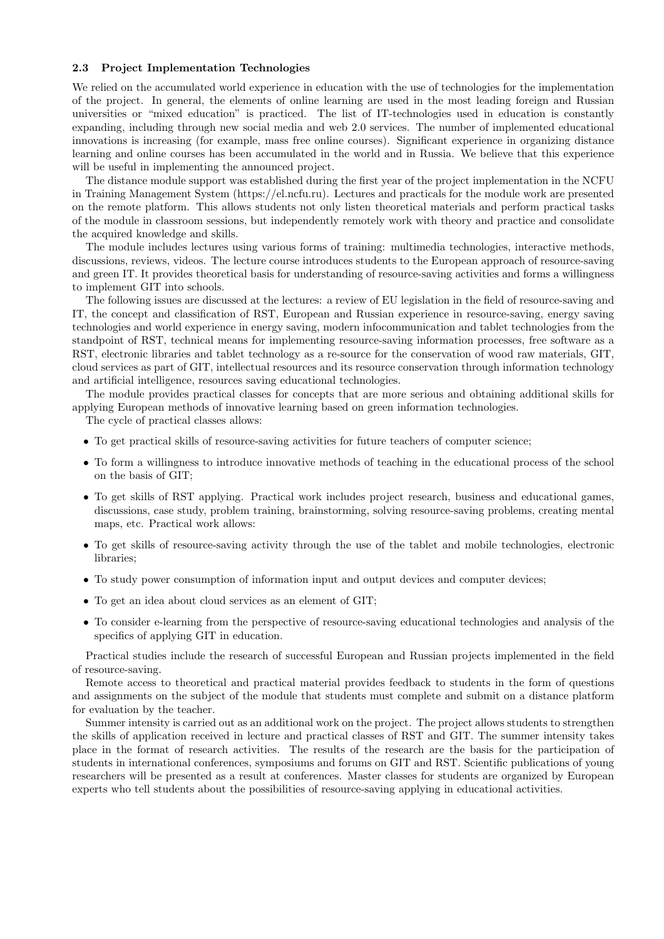#### 2.3 Project Implementation Technologies

We relied on the accumulated world experience in education with the use of technologies for the implementation of the project. In general, the elements of online learning are used in the most leading foreign and Russian universities or "mixed education" is practiced. The list of IT-technologies used in education is constantly expanding, including through new social media and web 2.0 services. The number of implemented educational innovations is increasing (for example, mass free online courses). Significant experience in organizing distance learning and online courses has been accumulated in the world and in Russia. We believe that this experience will be useful in implementing the announced project.

The distance module support was established during the first year of the project implementation in the NCFU in Training Management System (https://el.ncfu.ru). Lectures and practicals for the module work are presented on the remote platform. This allows students not only listen theoretical materials and perform practical tasks of the module in classroom sessions, but independently remotely work with theory and practice and consolidate the acquired knowledge and skills.

The module includes lectures using various forms of training: multimedia technologies, interactive methods, discussions, reviews, videos. The lecture course introduces students to the European approach of resource-saving and green IT. It provides theoretical basis for understanding of resource-saving activities and forms a willingness to implement GIT into schools.

The following issues are discussed at the lectures: a review of EU legislation in the field of resource-saving and IT, the concept and classification of RST, European and Russian experience in resource-saving, energy saving technologies and world experience in energy saving, modern infocommunication and tablet technologies from the standpoint of RST, technical means for implementing resource-saving information processes, free software as a RST, electronic libraries and tablet technology as a re-source for the conservation of wood raw materials, GIT, cloud services as part of GIT, intellectual resources and its resource conservation through information technology and artificial intelligence, resources saving educational technologies.

The module provides practical classes for concepts that are more serious and obtaining additional skills for applying European methods of innovative learning based on green information technologies.

The cycle of practical classes allows:

- To get practical skills of resource-saving activities for future teachers of computer science;
- To form a willingness to introduce innovative methods of teaching in the educational process of the school on the basis of GIT;
- To get skills of RST applying. Practical work includes project research, business and educational games, discussions, case study, problem training, brainstorming, solving resource-saving problems, creating mental maps, etc. Practical work allows:
- To get skills of resource-saving activity through the use of the tablet and mobile technologies, electronic libraries;
- To study power consumption of information input and output devices and computer devices;
- To get an idea about cloud services as an element of GIT;
- To consider e-learning from the perspective of resource-saving educational technologies and analysis of the specifics of applying GIT in education.

Practical studies include the research of successful European and Russian projects implemented in the field of resource-saving.

Remote access to theoretical and practical material provides feedback to students in the form of questions and assignments on the subject of the module that students must complete and submit on a distance platform for evaluation by the teacher.

Summer intensity is carried out as an additional work on the project. The project allows students to strengthen the skills of application received in lecture and practical classes of RST and GIT. The summer intensity takes place in the format of research activities. The results of the research are the basis for the participation of students in international conferences, symposiums and forums on GIT and RST. Scientific publications of young researchers will be presented as a result at conferences. Master classes for students are organized by European experts who tell students about the possibilities of resource-saving applying in educational activities.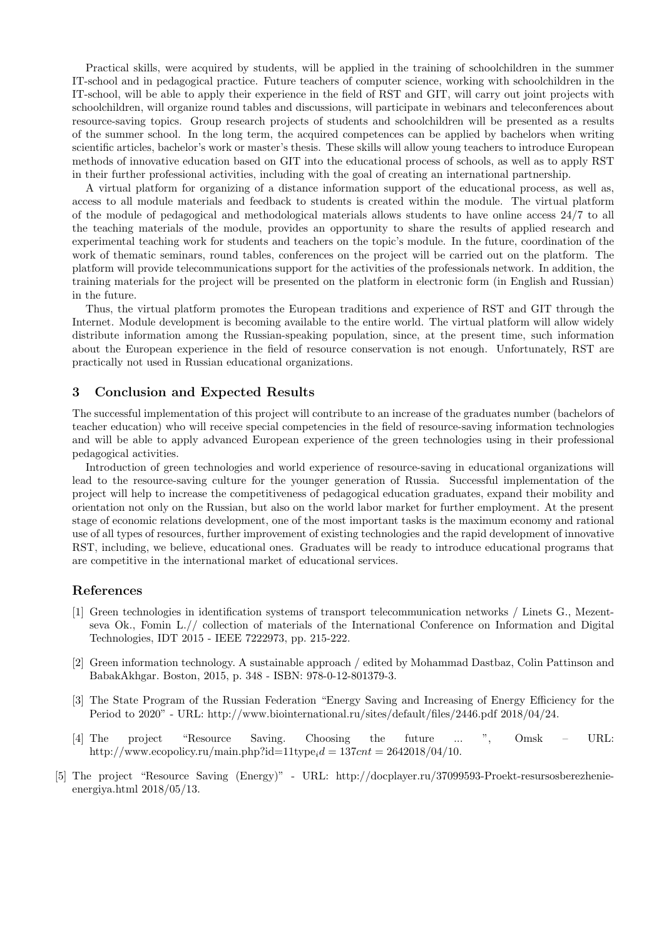Practical skills, were acquired by students, will be applied in the training of schoolchildren in the summer IT-school and in pedagogical practice. Future teachers of computer science, working with schoolchildren in the IT-school, will be able to apply their experience in the field of RST and GIT, will carry out joint projects with schoolchildren, will organize round tables and discussions, will participate in webinars and teleconferences about resource-saving topics. Group research projects of students and schoolchildren will be presented as a results of the summer school. In the long term, the acquired competences can be applied by bachelors when writing scientific articles, bachelor's work or master's thesis. These skills will allow young teachers to introduce European methods of innovative education based on GIT into the educational process of schools, as well as to apply RST in their further professional activities, including with the goal of creating an international partnership.

A virtual platform for organizing of a distance information support of the educational process, as well as, access to all module materials and feedback to students is created within the module. The virtual platform of the module of pedagogical and methodological materials allows students to have online access 24/7 to all the teaching materials of the module, provides an opportunity to share the results of applied research and experimental teaching work for students and teachers on the topic's module. In the future, coordination of the work of thematic seminars, round tables, conferences on the project will be carried out on the platform. The platform will provide telecommunications support for the activities of the professionals network. In addition, the training materials for the project will be presented on the platform in electronic form (in English and Russian) in the future.

Thus, the virtual platform promotes the European traditions and experience of RST and GIT through the Internet. Module development is becoming available to the entire world. The virtual platform will allow widely distribute information among the Russian-speaking population, since, at the present time, such information about the European experience in the field of resource conservation is not enough. Unfortunately, RST are practically not used in Russian educational organizations.

#### 3 Conclusion and Expected Results

The successful implementation of this project will contribute to an increase of the graduates number (bachelors of teacher education) who will receive special competencies in the field of resource-saving information technologies and will be able to apply advanced European experience of the green technologies using in their professional pedagogical activities.

Introduction of green technologies and world experience of resource-saving in educational organizations will lead to the resource-saving culture for the younger generation of Russia. Successful implementation of the project will help to increase the competitiveness of pedagogical education graduates, expand their mobility and orientation not only on the Russian, but also on the world labor market for further employment. At the present stage of economic relations development, one of the most important tasks is the maximum economy and rational use of all types of resources, further improvement of existing technologies and the rapid development of innovative RST, including, we believe, educational ones. Graduates will be ready to introduce educational programs that are competitive in the international market of educational services.

## References

- [1] Green technologies in identification systems of transport telecommunication networks / Linets G., Mezentseva Ok., Fomin L.// collection of materials of the International Conference on Information and Digital Technologies, IDT 2015 - IEEE 7222973, pp. 215-222.
- [2] Green information technology. A sustainable approach / edited by Mohammad Dastbaz, Colin Pattinson and BabakAkhgar. Boston, 2015, p. 348 - ISBN: 978-0-12-801379-3.
- [3] The State Program of the Russian Federation "Energy Saving and Increasing of Energy Efficiency for the Period to 2020" - URL: http://www.biointernational.ru/sites/default/files/2446.pdf 2018/04/24.
- [4] The project "Resource Saving. Choosing the future ... ", Omsk URL: http://www.ecopolicy.ru/main.php?id=11type $d = 137$ cnt = 2642018/04/10.
- [5] The project "Resource Saving (Energy)" URL: http://docplayer.ru/37099593-Proekt-resursosberezhenieenergiya.html 2018/05/13.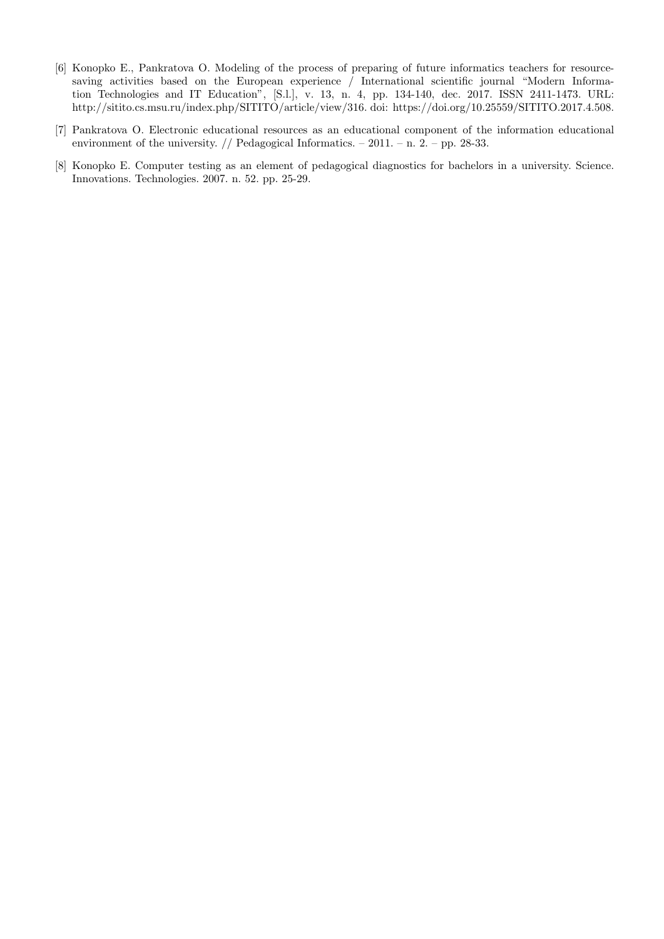- [6] Konopko E., Pankratova O. Modeling of the process of preparing of future informatics teachers for resourcesaving activities based on the European experience / International scientific journal "Modern Information Technologies and IT Education", [S.l.], v. 13, n. 4, pp. 134-140, dec. 2017. ISSN 2411-1473. URL: http://sitito.cs.msu.ru/index.php/SITITO/article/view/316. doi: https://doi.org/10.25559/SITITO.2017.4.508.
- [7] Pankratova O. Electronic educational resources as an educational component of the information educational environment of the university.  $//$  Pedagogical Informatics.  $-2011. - n. 2. - pp. 28-33.$
- [8] Konopko E. Computer testing as an element of pedagogical diagnostics for bachelors in a university. Science. Innovations. Technologies. 2007. n. 52. pp. 25-29.